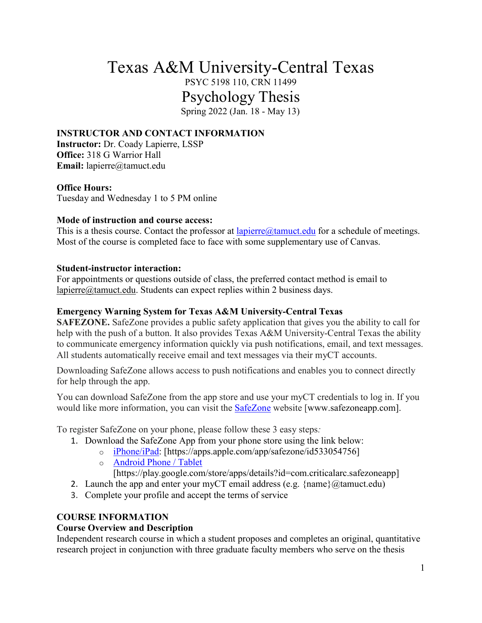# Texas A&M University-Central Texas PSYC 5198 110, CRN 11499 Psychology Thesis

Spring 2022 (Jan. 18 - May 13)

## **INSTRUCTOR AND CONTACT INFORMATION**

**Instructor:** Dr. Coady Lapierre, LSSP **Office:** 318 G Warrior Hall **Email:** lapierre@tamuct.edu

#### **Office Hours:**

Tuesday and Wednesday 1 to 5 PM online

#### **Mode of instruction and course access:**

This is a thesis course. Contact the professor at  $l$ apierre@tamuct.edu for a schedule of meetings. Most of the course is completed face to face with some supplementary use of Canvas.

#### **Student-instructor interaction:**

For appointments or questions outside of class, the preferred contact method is email to [lapierre@tamuct.edu.](mailto:lapierre@tamuct.edu) Students can expect replies within 2 business days.

#### **Emergency Warning System for Texas A&M University-Central Texas**

**SAFEZONE.** SafeZone provides a public safety application that gives you the ability to call for help with the push of a button. It also provides Texas A&M University-Central Texas the ability to communicate emergency information quickly via push notifications, email, and text messages. All students automatically receive email and text messages via their myCT accounts.

Downloading SafeZone allows access to push notifications and enables you to connect directly for help through the app.

You can download SafeZone from the app store and use your myCT credentials to log in. If you would like more information, you can visit the [SafeZone](http://www.safezoneapp.com/) website [www.safezoneapp.com].

To register SafeZone on your phone, please follow these 3 easy steps*:*

- 1. Download the SafeZone App from your phone store using the link below:
	- o [iPhone/iPad:](https://apps.apple.com/app/safezone/id533054756) [https://apps.apple.com/app/safezone/id533054756]
		- o [Android Phone / Tablet](https://play.google.com/store/apps/details?id=com.criticalarc.safezoneapp)

[https://play.google.com/store/apps/details?id=com.criticalarc.safezoneapp]

- 2. Launch the app and enter your myCT email address (e.g.  $\{name\}$ ) ( $@$ tamuct.edu)
- 3. Complete your profile and accept the terms of service

## **COURSE INFORMATION**

## **Course Overview and Description**

Independent research course in which a student proposes and completes an original, quantitative research project in conjunction with three graduate faculty members who serve on the thesis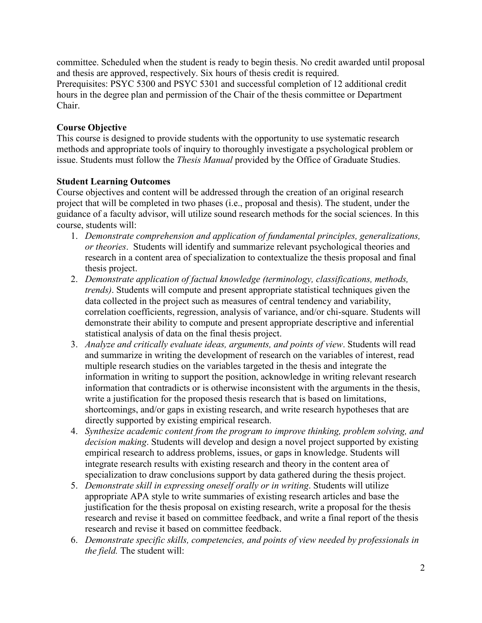committee. Scheduled when the student is ready to begin thesis. No credit awarded until proposal and thesis are approved, respectively. Six hours of thesis credit is required.

Prerequisites: PSYC 5300 and PSYC 5301 and successful completion of 12 additional credit hours in the degree plan and permission of the Chair of the thesis committee or Department Chair.

## **Course Objective**

This course is designed to provide students with the opportunity to use systematic research methods and appropriate tools of inquiry to thoroughly investigate a psychological problem or issue. Students must follow the *Thesis Manual* provided by the Office of Graduate Studies.

## **Student Learning Outcomes**

Course objectives and content will be addressed through the creation of an original research project that will be completed in two phases (i.e., proposal and thesis). The student, under the guidance of a faculty advisor, will utilize sound research methods for the social sciences. In this course, students will:

- 1. *Demonstrate comprehension and application of fundamental principles, generalizations, or theories*. Students will identify and summarize relevant psychological theories and research in a content area of specialization to contextualize the thesis proposal and final thesis project.
- 2. *Demonstrate application of factual knowledge (terminology, classifications, methods, trends)*. Students will compute and present appropriate statistical techniques given the data collected in the project such as measures of central tendency and variability, correlation coefficients, regression, analysis of variance, and/or chi-square. Students will demonstrate their ability to compute and present appropriate descriptive and inferential statistical analysis of data on the final thesis project.
- 3. *Analyze and critically evaluate ideas, arguments, and points of view*. Students will read and summarize in writing the development of research on the variables of interest, read multiple research studies on the variables targeted in the thesis and integrate the information in writing to support the position, acknowledge in writing relevant research information that contradicts or is otherwise inconsistent with the arguments in the thesis, write a justification for the proposed thesis research that is based on limitations, shortcomings, and/or gaps in existing research, and write research hypotheses that are directly supported by existing empirical research.
- 4. *Synthesize academic content from the program to improve thinking, problem solving, and decision making*. Students will develop and design a novel project supported by existing empirical research to address problems, issues, or gaps in knowledge. Students will integrate research results with existing research and theory in the content area of specialization to draw conclusions support by data gathered during the thesis project.
- 5. *Demonstrate skill in expressing oneself orally or in writing*. Students will utilize appropriate APA style to write summaries of existing research articles and base the justification for the thesis proposal on existing research, write a proposal for the thesis research and revise it based on committee feedback, and write a final report of the thesis research and revise it based on committee feedback.
- 6. *Demonstrate specific skills, competencies, and points of view needed by professionals in the field.* The student will: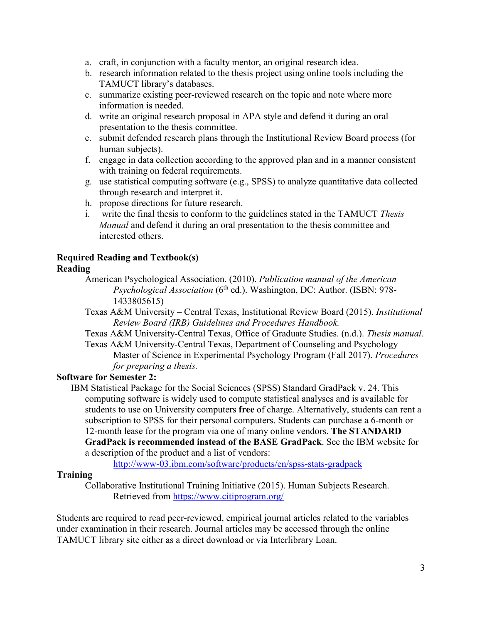- a. craft, in conjunction with a faculty mentor, an original research idea.
- b. research information related to the thesis project using online tools including the TAMUCT library's databases.
- c. summarize existing peer-reviewed research on the topic and note where more information is needed.
- d. write an original research proposal in APA style and defend it during an oral presentation to the thesis committee.
- e. submit defended research plans through the Institutional Review Board process (for human subjects).
- f. engage in data collection according to the approved plan and in a manner consistent with training on federal requirements.
- g. use statistical computing software (e.g., SPSS) to analyze quantitative data collected through research and interpret it.
- h. propose directions for future research.
- i. write the final thesis to conform to the guidelines stated in the TAMUCT *Thesis Manual* and defend it during an oral presentation to the thesis committee and interested others.

# **Required Reading and Textbook(s)**

#### **Reading**

- American Psychological Association. (2010). *Publication manual of the American Psychological Association* (6<sup>th</sup> ed.). Washington, DC: Author. (ISBN: 978-1433805615)
- Texas A&M University Central Texas, Institutional Review Board (2015). *Institutional Review Board (IRB) Guidelines and Procedures Handbook.*
- Texas A&M University-Central Texas, Office of Graduate Studies. (n.d.). *Thesis manual*. Texas A&M University-Central Texas, Department of Counseling and Psychology Master of Science in Experimental Psychology Program (Fall 2017). *Procedures for preparing a thesis.*

## **Software for Semester 2:**

IBM Statistical Package for the Social Sciences (SPSS) Standard GradPack v. 24. This computing software is widely used to compute statistical analyses and is available for students to use on University computers **free** of charge. Alternatively, students can rent a subscription to SPSS for their personal computers. Students can purchase a 6-month or 12-month lease for the program via one of many online vendors. **The STANDARD GradPack is recommended instead of the BASE GradPack**. See the IBM website for a description of the product and a list of vendors:

<http://www-03.ibm.com/software/products/en/spss-stats-gradpack>

## **Training**

Collaborative Institutional Training Initiative (2015). Human Subjects Research. Retrieved from<https://www.citiprogram.org/>

Students are required to read peer-reviewed, empirical journal articles related to the variables under examination in their research. Journal articles may be accessed through the online TAMUCT library site either as a direct download or via Interlibrary Loan.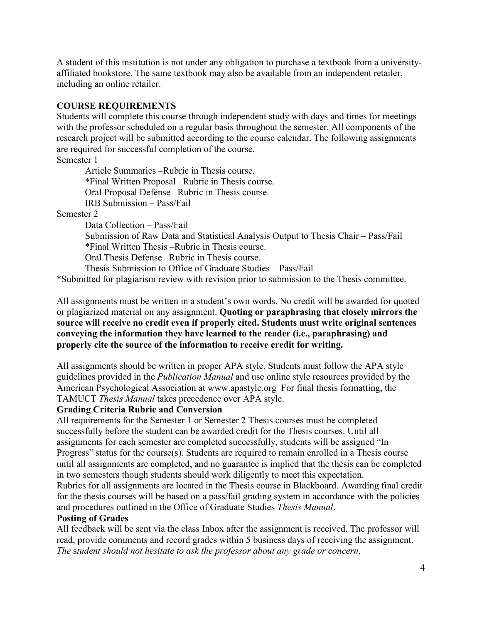A student of this institution is not under any obligation to purchase a textbook from a universityaffiliated bookstore. The same textbook may also be available from an independent retailer, including an online retailer.

#### **COURSE REQUIREMENTS**

Students will complete this course through independent study with days and times for meetings with the professor scheduled on a regular basis throughout the semester. All components of the research project will be submitted according to the course calendar. The following assignments are required for successful completion of the course.

Semester 1

Article Summaries –Rubric in Thesis course. \*Final Written Proposal –Rubric in Thesis course. Oral Proposal Defense –Rubric in Thesis course. IRB Submission – Pass/Fail

Semester 2

Data Collection – Pass/Fail

Submission of Raw Data and Statistical Analysis Output to Thesis Chair – Pass/Fail \*Final Written Thesis –Rubric in Thesis course.

Oral Thesis Defense –Rubric in Thesis course.

Thesis Submission to Office of Graduate Studies – Pass/Fail

\*Submitted for plagiarism review with revision prior to submission to the Thesis committee.

All assignments must be written in a student's own words. No credit will be awarded for quoted or plagiarized material on any assignment. **Quoting or paraphrasing that closely mirrors the source will receive no credit even if properly cited. Students must write original sentences conveying the information they have learned to the reader (i.e., paraphrasing) and properly cite the source of the information to receive credit for writing.** 

All assignments should be written in proper APA style. Students must follow the APA style guidelines provided in the *Publication Manual* and use online style resources provided by the American Psychological Association at www.apastyle.org For final thesis formatting, the TAMUCT *Thesis Manual* takes precedence over APA style.

#### **Grading Criteria Rubric and Conversion**

All requirements for the Semester 1 or Semester 2 Thesis courses must be completed successfully before the student can be awarded credit for the Thesis courses. Until all assignments for each semester are completed successfully, students will be assigned "In Progress" status for the course(s). Students are required to remain enrolled in a Thesis course until all assignments are completed, and no guarantee is implied that the thesis can be completed in two semesters though students should work diligently to meet this expectation.

Rubrics for all assignments are located in the Thesis course in Blackboard. Awarding final credit for the thesis courses will be based on a pass/fail grading system in accordance with the policies and procedures outlined in the Office of Graduate Studies *Thesis Manual*.

## **Posting of Grades**

All feedback will be sent via the class Inbox after the assignment is received. The professor will read, provide comments and record grades within 5 business days of receiving the assignment. *The* s*tudent should not hesitate to ask the professor about any grade or concern*.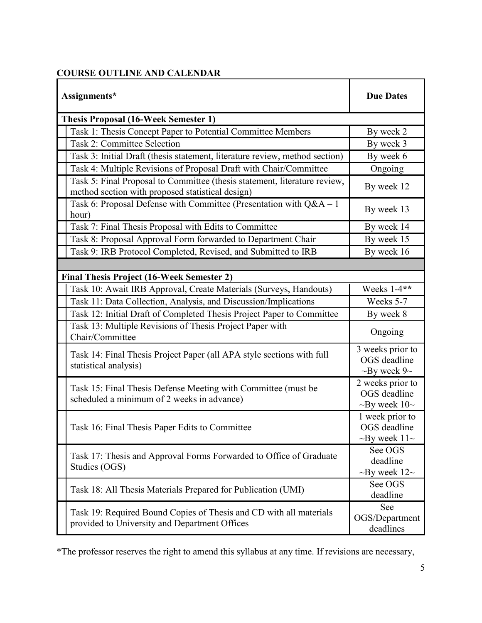## **COURSE OUTLINE AND CALENDAR**

| Assignments*                                                                                                                  | <b>Due Dates</b>                                             |
|-------------------------------------------------------------------------------------------------------------------------------|--------------------------------------------------------------|
| <b>Thesis Proposal (16-Week Semester 1)</b>                                                                                   |                                                              |
| Task 1: Thesis Concept Paper to Potential Committee Members                                                                   | By week 2                                                    |
| <b>Task 2: Committee Selection</b>                                                                                            | By week 3                                                    |
| Task 3: Initial Draft (thesis statement, literature review, method section)                                                   | By week 6                                                    |
| Task 4: Multiple Revisions of Proposal Draft with Chair/Committee                                                             | Ongoing                                                      |
| Task 5: Final Proposal to Committee (thesis statement, literature review,<br>method section with proposed statistical design) | By week 12                                                   |
| Task 6: Proposal Defense with Committee (Presentation with $Q&A-1$<br>hour)                                                   | By week 13                                                   |
| Task 7: Final Thesis Proposal with Edits to Committee                                                                         | By week 14                                                   |
| Task 8: Proposal Approval Form forwarded to Department Chair                                                                  | By week 15                                                   |
| Task 9: IRB Protocol Completed, Revised, and Submitted to IRB                                                                 | By week 16                                                   |
|                                                                                                                               |                                                              |
| <b>Final Thesis Project (16-Week Semester 2)</b>                                                                              |                                                              |
| Task 10: Await IRB Approval, Create Materials (Surveys, Handouts)                                                             | Weeks 1-4**                                                  |
| Task 11: Data Collection, Analysis, and Discussion/Implications                                                               | Weeks 5-7                                                    |
| Task 12: Initial Draft of Completed Thesis Project Paper to Committee                                                         | By week 8                                                    |
| Task 13: Multiple Revisions of Thesis Project Paper with<br>Chair/Committee                                                   | Ongoing                                                      |
| Task 14: Final Thesis Project Paper (all APA style sections with full<br>statistical analysis)                                | 3 weeks prior to<br>OGS deadline<br>$\sim$ By week 9 $\sim$  |
| Task 15: Final Thesis Defense Meeting with Committee (must be<br>scheduled a minimum of 2 weeks in advance)                   | 2 weeks prior to<br>OGS deadline<br>$\sim$ By week 10 $\sim$ |
| Task 16: Final Thesis Paper Edits to Committee                                                                                | 1 week prior to<br>OGS deadline<br>$\sim$ By week 11 $\sim$  |
| Task 17: Thesis and Approval Forms Forwarded to Office of Graduate<br>Studies (OGS)                                           | See OGS<br>deadline<br>$\sim$ By week 12 $\sim$              |
| Task 18: All Thesis Materials Prepared for Publication (UMI)                                                                  | See OGS<br>deadline                                          |
| Task 19: Required Bound Copies of Thesis and CD with all materials<br>provided to University and Department Offices           | See<br>OGS/Department<br>deadlines                           |

\*The professor reserves the right to amend this syllabus at any time. If revisions are necessary,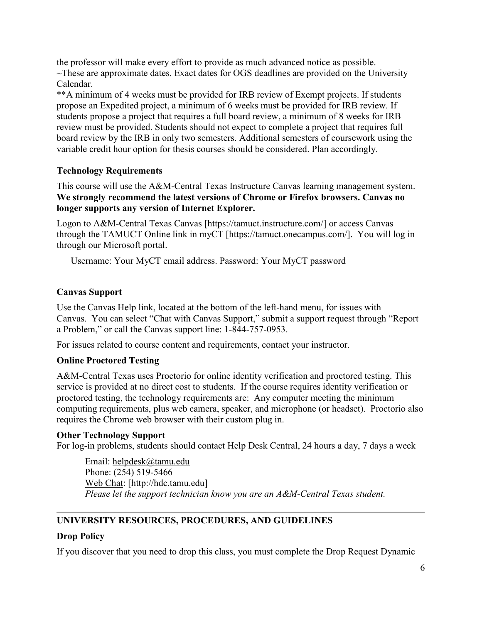the professor will make every effort to provide as much advanced notice as possible. ~These are approximate dates. Exact dates for OGS deadlines are provided on the University Calendar.

\*\*A minimum of 4 weeks must be provided for IRB review of Exempt projects. If students propose an Expedited project, a minimum of 6 weeks must be provided for IRB review. If students propose a project that requires a full board review, a minimum of 8 weeks for IRB review must be provided. Students should not expect to complete a project that requires full board review by the IRB in only two semesters. Additional semesters of coursework using the variable credit hour option for thesis courses should be considered. Plan accordingly.

## **Technology Requirements**

This course will use the A&M-Central Texas Instructure Canvas learning management system. **We strongly recommend the latest versions of Chrome or Firefox browsers. Canvas no longer supports any version of Internet Explorer.**

Logon to A&M-Central Texas Canvas [https://tamuct.instructure.com/] or access Canvas through the TAMUCT Online link in myCT [https://tamuct.onecampus.com/]. You will log in through our Microsoft portal.

Username: Your MyCT email address. Password: Your MyCT password

## **Canvas Support**

Use the Canvas Help link, located at the bottom of the left-hand menu, for issues with Canvas. You can select "Chat with Canvas Support," submit a support request through "Report a Problem," or call the Canvas support line: 1-844-757-0953.

For issues related to course content and requirements, contact your instructor.

## **Online Proctored Testing**

A&M-Central Texas uses Proctorio for online identity verification and proctored testing. This service is provided at no direct cost to students. If the course requires identity verification or proctored testing, the technology requirements are: Any computer meeting the minimum computing requirements, plus web camera, speaker, and microphone (or headset). Proctorio also requires the Chrome web browser with their custom plug in.

## **Other Technology Support**

For log-in problems, students should contact Help Desk Central, 24 hours a day, 7 days a week

Email: [helpdesk@tamu.edu](mailto:helpdesk@tamu.edu) Phone: (254) 519-5466 [Web Chat:](http://hdc.tamu.edu/) [http://hdc.tamu.edu] *Please let the support technician know you are an A&M-Central Texas student.*

# **UNIVERSITY RESOURCES, PROCEDURES, AND GUIDELINES**

## **Drop Policy**

If you discover that you need to drop this class, you must complete the [Drop Request](https://dynamicforms.ngwebsolutions.com/casAuthentication.ashx?InstID=eaed95b9-f2be-45f3-a37d-46928168bc10&targetUrl=https%3A%2F%2Fdynamicforms.ngwebsolutions.com%2FSubmit%2FForm%2FStart%2F53b8369e-0502-4f36-be43-f02a4202f612) Dynamic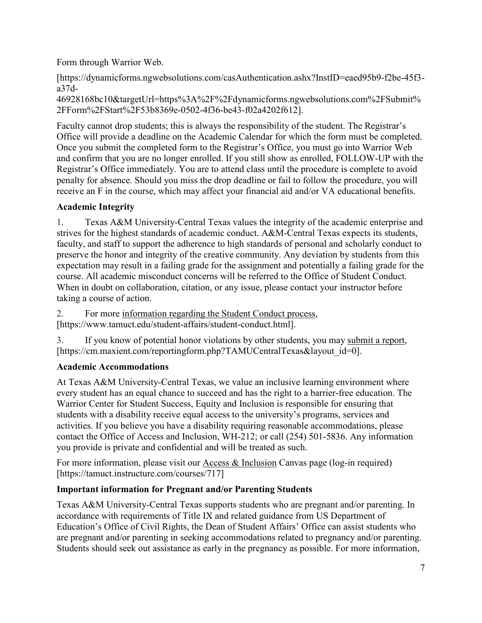Form through Warrior Web.

[https://dynamicforms.ngwebsolutions.com/casAuthentication.ashx?InstID=eaed95b9-f2be-45f3 a37d-

46928168bc10&targetUrl=https%3A%2F%2Fdynamicforms.ngwebsolutions.com%2FSubmit% 2FForm%2FStart%2F53b8369e-0502-4f36-be43-f02a4202f612].

Faculty cannot drop students; this is always the responsibility of the student. The Registrar's Office will provide a deadline on the Academic Calendar for which the form must be completed. Once you submit the completed form to the Registrar's Office, you must go into Warrior Web and confirm that you are no longer enrolled. If you still show as enrolled, FOLLOW-UP with the Registrar's Office immediately. You are to attend class until the procedure is complete to avoid penalty for absence. Should you miss the drop deadline or fail to follow the procedure, you will receive an F in the course, which may affect your financial aid and/or VA educational benefits.

## **Academic Integrity**

1. Texas A&M University-Central Texas values the integrity of the academic enterprise and strives for the highest standards of academic conduct. A&M-Central Texas expects its students, faculty, and staff to support the adherence to high standards of personal and scholarly conduct to preserve the honor and integrity of the creative community. Any deviation by students from this expectation may result in a failing grade for the assignment and potentially a failing grade for the course. All academic misconduct concerns will be referred to the Office of Student Conduct. When in doubt on collaboration, citation, or any issue, please contact your instructor before taking a course of action.

2. For more [information](https://nam04.safelinks.protection.outlook.com/?url=https%3A%2F%2Fwww.tamuct.edu%2Fstudent-affairs%2Fstudent-conduct.html&data=04%7C01%7Clisa.bunkowski%40tamuct.edu%7Ccfb6e486f24745f53e1a08d910055cb2%7C9eed4e3000f744849ff193ad8005acec%7C0%7C0%7C637558437485252160%7CUnknown%7CTWFpbGZsb3d8eyJWIjoiMC4wLjAwMDAiLCJQIjoiV2luMzIiLCJBTiI6Ik1haWwiLCJXVCI6Mn0%3D%7C1000&sdata=yjftDEVHvLX%2FhM%2FcFU0B99krV1RgEWR%2BJ%2BhvtoR6TYk%3D&reserved=0) regarding the Student Conduct process, [https://www.tamuct.edu/student-affairs/student-conduct.html].

3. If you know of potential honor violations by other students, you may [submit](https://nam04.safelinks.protection.outlook.com/?url=https%3A%2F%2Fcm.maxient.com%2Freportingform.php%3FTAMUCentralTexas%26layout_id%3D0&data=04%7C01%7Clisa.bunkowski%40tamuct.edu%7Ccfb6e486f24745f53e1a08d910055cb2%7C9eed4e3000f744849ff193ad8005acec%7C0%7C0%7C637558437485262157%7CUnknown%7CTWFpbGZsb3d8eyJWIjoiMC4wLjAwMDAiLCJQIjoiV2luMzIiLCJBTiI6Ik1haWwiLCJXVCI6Mn0%3D%7C1000&sdata=CXGkOa6uPDPX1IMZ87z3aZDq2n91xfHKu4MMS43Ejjk%3D&reserved=0) a report, [https://cm.maxient.com/reportingform.php?TAMUCentralTexas&layout\_id=0].

# **Academic Accommodations**

At Texas A&M University-Central Texas, we value an inclusive learning environment where every student has an equal chance to succeed and has the right to a barrier-free education. The Warrior Center for Student Success, Equity and Inclusion is responsible for ensuring that students with a disability receive equal access to the university's programs, services and activities. If you believe you have a disability requiring reasonable accommodations, please contact the Office of Access and Inclusion, WH-212; or call (254) 501-5836. Any information you provide is private and confidential and will be treated as such.

For more information, please visit our [Access & Inclusion](https://tamuct.instructure.com/courses/717) Canvas page (log-in required) [https://tamuct.instructure.com/courses/717]

# **Important information for Pregnant and/or Parenting Students**

Texas A&M University-Central Texas supports students who are pregnant and/or parenting. In accordance with requirements of Title IX and related guidance from US Department of Education's Office of Civil Rights, the Dean of Student Affairs' Office can assist students who are pregnant and/or parenting in seeking accommodations related to pregnancy and/or parenting. Students should seek out assistance as early in the pregnancy as possible. For more information,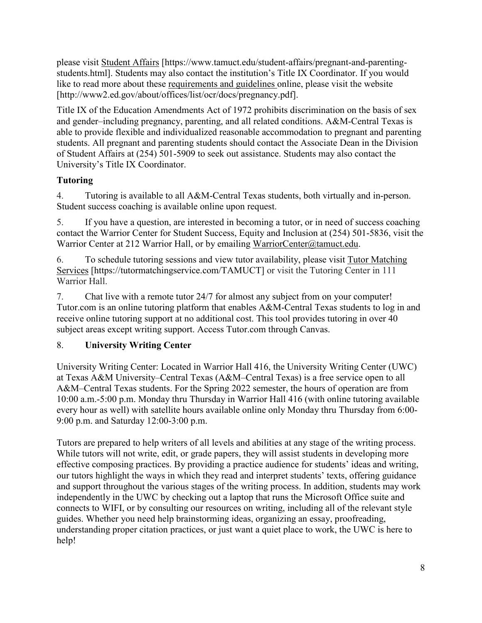please visit [Student Affairs](https://www.tamuct.edu/student-affairs/pregnant-and-parenting-students.html) [https://www.tamuct.edu/student-affairs/pregnant-and-parentingstudents.html]. Students may also contact the institution's Title IX Coordinator. If you would like to read more about these [requirements and guidelines](http://www2.ed.gov/about/offices/list/ocr/docs/pregnancy.pdf) online, please visit the website [http://www2.ed.gov/about/offices/list/ocr/docs/pregnancy.pdf].

Title IX of the Education Amendments Act of 1972 prohibits discrimination on the basis of sex and gender–including pregnancy, parenting, and all related conditions. A&M-Central Texas is able to provide flexible and individualized reasonable accommodation to pregnant and parenting students. All pregnant and parenting students should contact the Associate Dean in the Division of Student Affairs at (254) 501-5909 to seek out assistance. Students may also contact the University's Title IX Coordinator.

# **Tutoring**

4. Tutoring is available to all A&M-Central Texas students, both virtually and in-person. Student success coaching is available online upon request.

5. If you have a question, are interested in becoming a tutor, or in need of success coaching contact the Warrior Center for Student Success, Equity and Inclusion at (254) 501-5836, visit the Warrior Center at 212 Warrior Hall, or by emailing [WarriorCenter@tamuct.edu.](mailto:WarriorCenter@tamuct.edu)

6. To schedule tutoring sessions and view tutor availability, please visit Tutor [Matching](https://tutormatchingservice.com/TAMUCT) [Services](https://tutormatchingservice.com/TAMUCT) [https://tutormatchingservice.com/TAMUCT] or visit the Tutoring Center in 111 Warrior Hall.

7. Chat live with a remote tutor 24/7 for almost any subject from on your computer! Tutor.com is an online tutoring platform that enables A&M-Central Texas students to log in and receive online tutoring support at no additional cost. This tool provides tutoring in over 40 subject areas except writing support. Access Tutor.com through Canvas.

# 8. **University Writing Center**

University Writing Center: Located in Warrior Hall 416, the University Writing Center (UWC) at Texas A&M University–Central Texas (A&M–Central Texas) is a free service open to all A&M–Central Texas students. For the Spring 2022 semester, the hours of operation are from 10:00 a.m.-5:00 p.m. Monday thru Thursday in Warrior Hall 416 (with online tutoring available every hour as well) with satellite hours available online only Monday thru Thursday from 6:00- 9:00 p.m. and Saturday 12:00-3:00 p.m.

Tutors are prepared to help writers of all levels and abilities at any stage of the writing process. While tutors will not write, edit, or grade papers, they will assist students in developing more effective composing practices. By providing a practice audience for students' ideas and writing, our tutors highlight the ways in which they read and interpret students' texts, offering guidance and support throughout the various stages of the writing process. In addition, students may work independently in the UWC by checking out a laptop that runs the Microsoft Office suite and connects to WIFI, or by consulting our resources on writing, including all of the relevant style guides. Whether you need help brainstorming ideas, organizing an essay, proofreading, understanding proper citation practices, or just want a quiet place to work, the UWC is here to help!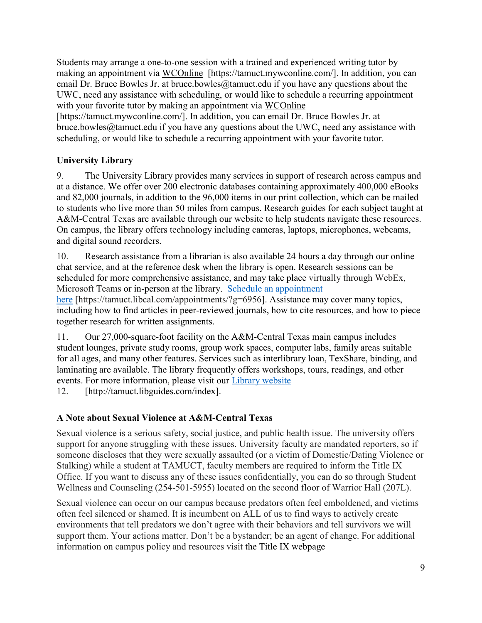Students may arrange a one-to-one session with a trained and experienced writing tutor by making an appointment via [WCOnline](https://tamuct.mywconline.com/) [https://tamuct.mywconline.com/]. In addition, you can email Dr. Bruce Bowles Jr. at bruce.bowles  $@$ tamuct.edu if you have any questions about the UWC, need any assistance with scheduling, or would like to schedule a recurring appointment with your favorite tutor by making an appointment via [WCOnline](https://tamuct.mywconline.com/)

[https://tamuct.mywconline.com/]. In addition, you can email Dr. Bruce Bowles Jr. at bruce.bowles@tamuct.edu if you have any questions about the UWC, need any assistance with scheduling, or would like to schedule a recurring appointment with your favorite tutor.

## **University Library**

9. The University Library provides many services in support of research across campus and at a distance. We offer over 200 electronic databases containing approximately 400,000 eBooks and 82,000 journals, in addition to the 96,000 items in our print collection, which can be mailed to students who live more than 50 miles from campus. Research guides for each subject taught at A&M-Central Texas are available through our website to help students navigate these resources. On campus, the library offers technology including cameras, laptops, microphones, webcams, and digital sound recorders.

10. Research assistance from a librarian is also available 24 hours a day through our online chat service, and at the reference desk when the library is open. Research sessions can be scheduled for more comprehensive assistance, and may take place virtually through WebEx, Microsoft Teams or in-person at the library. Schedule an [appointment](https://nam04.safelinks.protection.outlook.com/?url=https%3A%2F%2Ftamuct.libcal.com%2Fappointments%2F%3Fg%3D6956&data=04%7C01%7Clisa.bunkowski%40tamuct.edu%7Cde2c07d9f5804f09518008d9ab7ba6ff%7C9eed4e3000f744849ff193ad8005acec%7C0%7C0%7C637729369835011558%7CUnknown%7CTWFpbGZsb3d8eyJWIjoiMC4wLjAwMDAiLCJQIjoiV2luMzIiLCJBTiI6Ik1haWwiLCJXVCI6Mn0%3D%7C3000&sdata=KhtjgRSAw9aq%2FoBsB6wyu8b7PSuGN5EGPypzr3Ty2No%3D&reserved=0)

[here](https://nam04.safelinks.protection.outlook.com/?url=https%3A%2F%2Ftamuct.libcal.com%2Fappointments%2F%3Fg%3D6956&data=04%7C01%7Clisa.bunkowski%40tamuct.edu%7Cde2c07d9f5804f09518008d9ab7ba6ff%7C9eed4e3000f744849ff193ad8005acec%7C0%7C0%7C637729369835011558%7CUnknown%7CTWFpbGZsb3d8eyJWIjoiMC4wLjAwMDAiLCJQIjoiV2luMzIiLCJBTiI6Ik1haWwiLCJXVCI6Mn0%3D%7C3000&sdata=KhtjgRSAw9aq%2FoBsB6wyu8b7PSuGN5EGPypzr3Ty2No%3D&reserved=0) [https://tamuct.libcal.com/appointments/?g=6956]. Assistance may cover many topics, including how to find articles in peer-reviewed journals, how to cite resources, and how to piece together research for written assignments.

11. Our 27,000-square-foot facility on the A&M-Central Texas main campus includes student lounges, private study rooms, group work spaces, computer labs, family areas suitable for all ages, and many other features. Services such as interlibrary loan, TexShare, binding, and laminating are available. The library frequently offers workshops, tours, readings, and other events. For more information, please visit our Library [website](https://nam04.safelinks.protection.outlook.com/?url=https%3A%2F%2Ftamuct.libguides.com%2Findex&data=04%7C01%7Clisa.bunkowski%40tamuct.edu%7C7d8489e8839a4915335f08d916f067f2%7C9eed4e3000f744849ff193ad8005acec%7C0%7C0%7C637566044056484222%7CUnknown%7CTWFpbGZsb3d8eyJWIjoiMC4wLjAwMDAiLCJQIjoiV2luMzIiLCJBTiI6Ik1haWwiLCJXVCI6Mn0%3D%7C1000&sdata=2R755V6rcIyedGrd4Os5rkgn1PvhHKU3kUV1vBKiHFo%3D&reserved=0)

12. [http://tamuct.libguides.com/index].

## **A Note about Sexual Violence at A&M-Central Texas**

Sexual violence is a serious safety, social justice, and public health issue. The university offers support for anyone struggling with these issues. University faculty are mandated reporters, so if someone discloses that they were sexually assaulted (or a victim of Domestic/Dating Violence or Stalking) while a student at TAMUCT, faculty members are required to inform the Title IX Office. If you want to discuss any of these issues confidentially, you can do so through Student Wellness and Counseling (254-501-5955) located on the second floor of Warrior Hall (207L).

Sexual violence can occur on our campus because predators often feel emboldened, and victims often feel silenced or shamed. It is incumbent on ALL of us to find ways to actively create environments that tell predators we don't agree with their behaviors and tell survivors we will support them. Your actions matter. Don't be a bystander; be an agent of change. For additional information on campus policy and resources visit the [Title IX webpage](https://www.tamuct.edu/compliance/titleix.html)